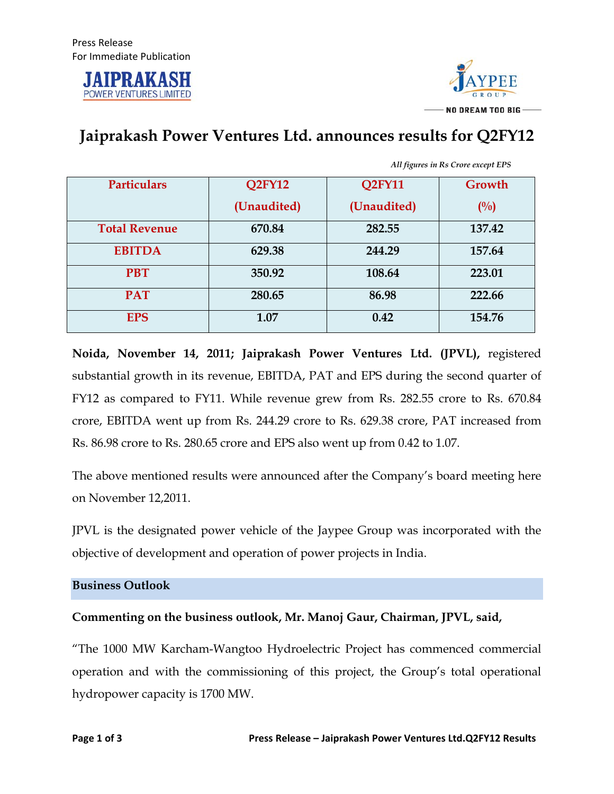



## **Jaiprakash Power Ventures Ltd. announces results for Q2FY12**

|                                                                       | Growth                                                                      |
|-----------------------------------------------------------------------|-----------------------------------------------------------------------------|
|                                                                       |                                                                             |
|                                                                       | $($ %)                                                                      |
|                                                                       |                                                                             |
|                                                                       | 137.42                                                                      |
|                                                                       |                                                                             |
|                                                                       | 157.64                                                                      |
|                                                                       |                                                                             |
|                                                                       | 223.01                                                                      |
|                                                                       |                                                                             |
|                                                                       | 222.66                                                                      |
|                                                                       |                                                                             |
|                                                                       | 154.76                                                                      |
|                                                                       |                                                                             |
| Q2FY12<br>(Unaudited)<br>670.84<br>629.38<br>350.92<br>280.65<br>1.07 | <b>Q2FY11</b><br>(Unaudited)<br>282.55<br>244.29<br>108.64<br>86.98<br>0.42 |

*All figures in Rs Crore except EPS*

**Noida, November 14, 2011; Jaiprakash Power Ventures Ltd. (JPVL),** registered substantial growth in its revenue, EBITDA, PAT and EPS during the second quarter of FY12 as compared to FY11. While revenue grew from Rs. 282.55 crore to Rs. 670.84 crore, EBITDA went up from Rs. 244.29 crore to Rs. 629.38 crore, PAT increased from Rs. 86.98 crore to Rs. 280.65 crore and EPS also went up from 0.42 to 1.07.

The above mentioned results were announced after the Company's board meeting here on November 12,2011.

JPVL is the designated power vehicle of the Jaypee Group was incorporated with the objective of development and operation of power projects in India.

## **Business Outlook**

**Commenting on the business outlook, Mr. Manoj Gaur, Chairman, JPVL, said,** 

"The 1000 MW Karcham-Wangtoo Hydroelectric Project has commenced commercial operation and with the commissioning of this project, the Group's total operational hydropower capacity is 1700 MW.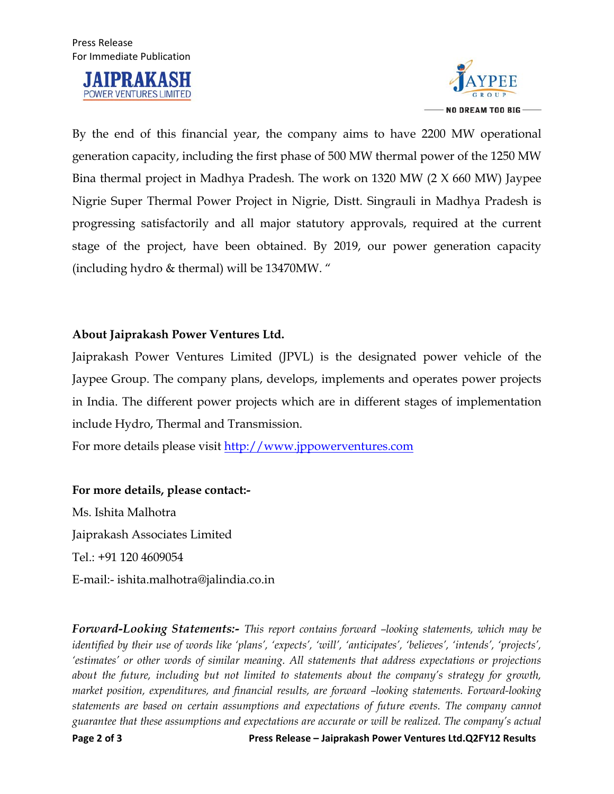



By the end of this financial year, the company aims to have 2200 MW operational generation capacity, including the first phase of 500 MW thermal power of the 1250 MW Bina thermal project in Madhya Pradesh. The work on 1320 MW (2 X 660 MW) Jaypee Nigrie Super Thermal Power Project in Nigrie, Distt. Singrauli in Madhya Pradesh is progressing satisfactorily and all major statutory approvals, required at the current stage of the project, have been obtained. By 2019, our power generation capacity (including hydro & thermal) will be 13470MW. "

## **About Jaiprakash Power Ventures Ltd.**

Jaiprakash Power Ventures Limited (JPVL) is the designated power vehicle of the Jaypee Group. The company plans, develops, implements and operates power projects in India. The different power projects which are in different stages of implementation include Hydro, Thermal and Transmission.

For more details please visit http://www.jppowerventures.com

## **For more details, please contact:-**

Ms. Ishita Malhotra Jaiprakash Associates Limited Tel.: +91 120 4609054 E-mail:- ishita.malhotra@jalindia.co.in

*Forward-Looking Statements:- This report contains forward –looking statements, which may be identified by their use of words like 'plans', 'expects', 'will', 'anticipates', 'believes', 'intends', 'projects', 'estimates' or other words of similar meaning. All statements that address expectations or projections about the future, including but not limited to statements about the company's strategy for growth, market position, expenditures, and financial results, are forward –looking statements. Forward-looking statements are based on certain assumptions and expectations of future events. The company cannot guarantee that these assumptions and expectations are accurate or will be realized. The company's actual*